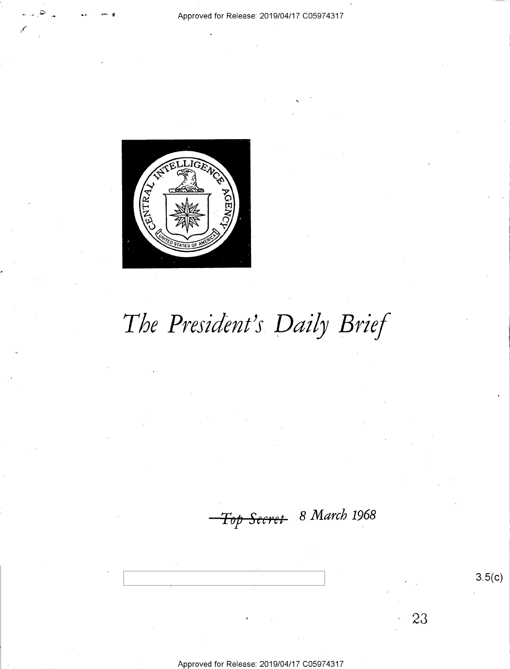

# The President's Daily Brief

Top Secret 8 March 1968

Approved for Release: 2019/04/17 C05974317

23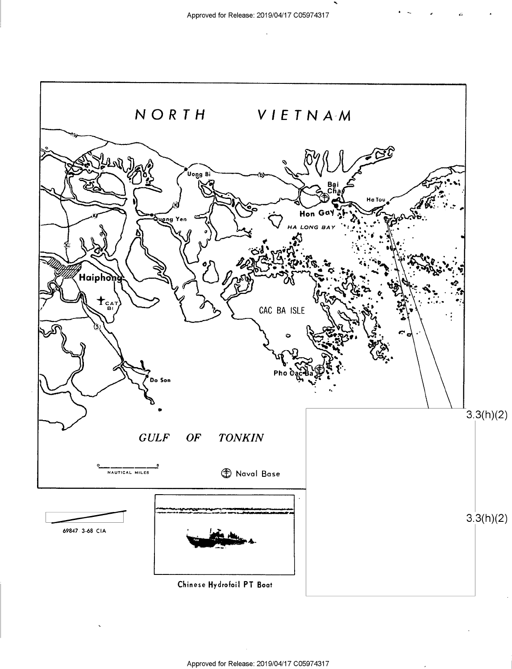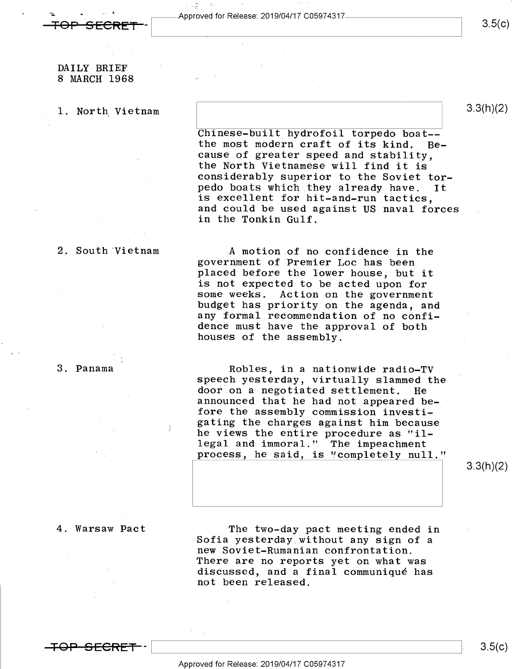Approved for Release: 2019/04/17 C05974317

### DAILY BRIEF 8 MARCH 1968

l. North Vietnam

Chinese-built hydrofoil torpedo boat--<br>the most modern craft of its kind. Bethe most modern craft of its kind. B<br>cause of greater speed and stability, the North Vietnamese will find it is considerably superior to the Soviet torpedo boats which they already have. It<br>is excellent for hit-and-run tactics, and could be used against US naval forces in the Tonkin Gulf.

### 2. South Vietnam

3. Panama

A motion of no confidence in the<br>government of Premier Loc has been placed before the lower house, but it<br>is not expected to be acted upon for some weeks. Action on the government budget has priority on the agenda, and<br>any formal recommendation of no confidence must have the approval of both houses of the assembly.

Robles, in a nationwide radio-TV<br>speech yesterday, virtually slammed the<br>door on a negotiated settlement. He announced that he had not appeared be-<br>fore the assembly commission investigating the charges against him because he views the entire procedure as "illegal and immoral." The impeachment process, he said, is "completely null."

 $3.3(h)(2)$ 

4. Warsaw Pact

The two-day pact meeting ended in Sofia yesterday without any sign of a There are no reports yet on what was discussed, and a final communique has not been released.

<del>TOP SECRET :</del>

၁.၁(၄)

 $3.3(h)(2)$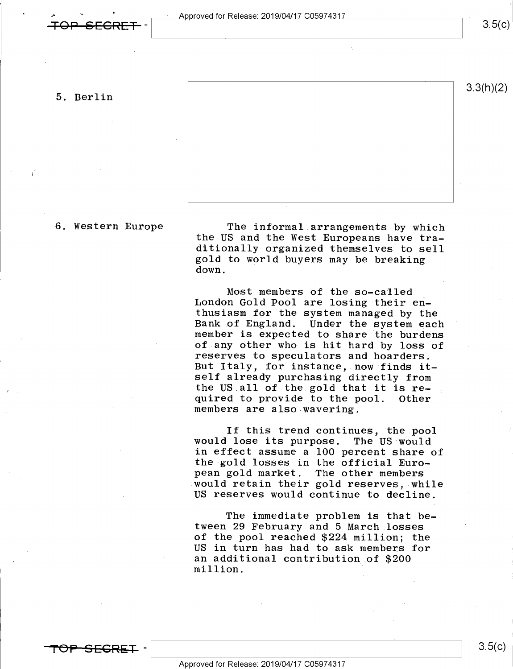Approved for Release: 2019/04/17 C05974317

5. Berlin



6. Western Europe The informal arrangements by which<br>the US and the West Europeans have tra-<br>ditionally organized themselves to sell gold to world buyers may be breaking<br>down. down.

> Most members of the so-called<br>London Gold Pool are losing their en-<br>thusiasm for the system managed by the Bank of England. Under the system each member is expected to share the burdens<br>of any other who is hit hard by loss of reserves to speculators and hoarders. But Italy, for instance, now finds itself already purchasing directly from the US.all of the gold that it is required to provide to the pool. Other members are also wavering.

> If this trend continues, the pool would lose its purpose. The US would in effect assume a 100 percent share of<br>the gold losses in the official European gold market. The other members .would retain their gold reserves, while US reserves would continue to decline.

The immediate problem is that between 29 February and 5 March.losses of the pool reached \$224 million; the US in turn has had to ask members for an additional contribution of \$200 million.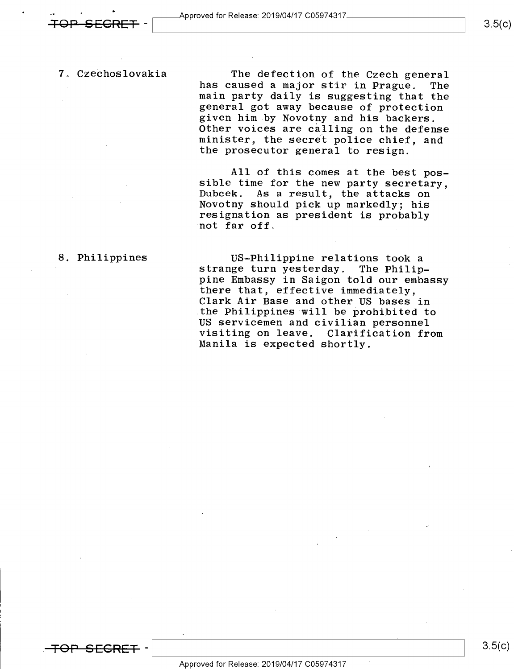7. Czechoslovakia

The defection of the Czech general<br>has caused a major stir in Prague. The main party daily is suggesting that the general got away because of protection given him by Novotny and his backers.<br>Other voices are calling on the defense minister, the secret police chief, and the prosecutor general to resign.

All of this comes at the best pos-<br>sible time for the new party secretary, Dubcek. As a result, the attacks on<br>Novotny should pick up markedly; his resignation as president is probably<br>not far off.

### 8. Philippines

US-Philippine relations took a<br>strange turn yesterday. The Philip-<br>pine Embassy in Saigon told our embassy there that, effective immediately, Clark Air Base and other US bases in the Philippines will be prohibited to<br>US servicemen and civilian personnel visiting on leave. Clarification from<br>Manila is expected shortly.

 $3.5(c)$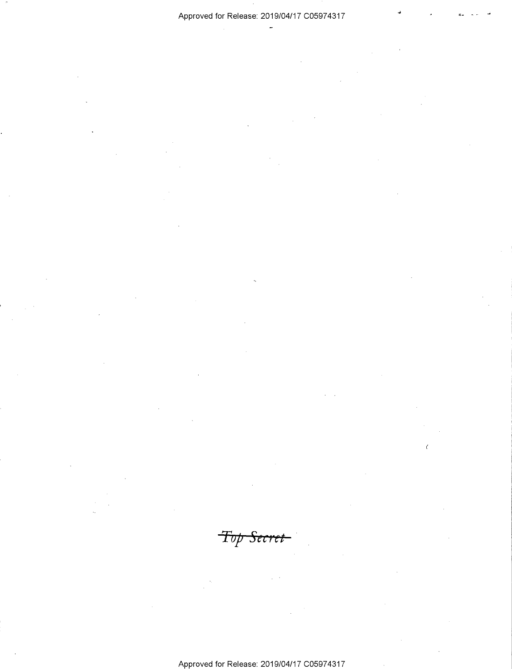$\langle$ 

Top Secret

Approved for Release: 2019/04/17 C05974317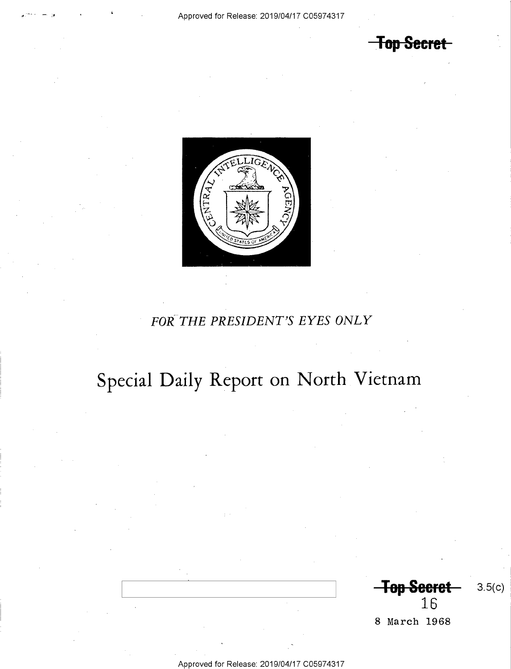Approved for Release: 2019/04/17 C05974317

**Top Secret** 



### FOR THE PRESIDENT'S EYES ONLY

## Special Daily Report on North Vietnam

**Top Secret**  $3.5(c)$ 16

8 March 1968

Approved for Release: 2019/04/17 C05974317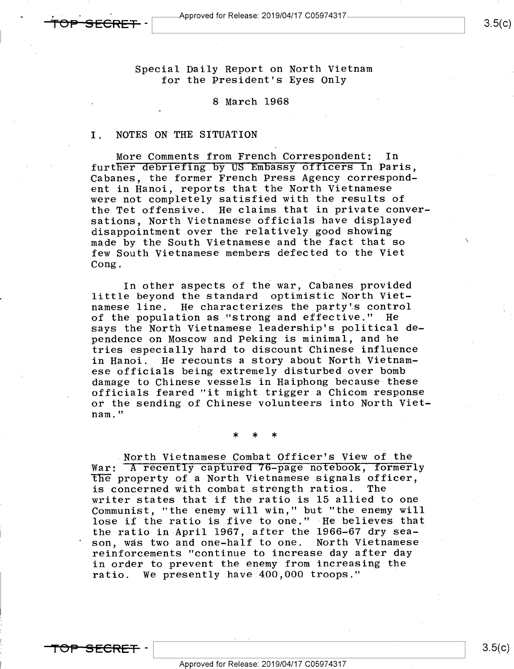. - -  $\vec{\tau}$ OP SECRET  $\cdot$   $\sqrt{\phantom{a}}^{2}$  Approved for Release: 2019/04/17 C059/431/-

> Special Daily Report on North Vietnam for the President's Eyes Only

### 8 March 1968

### I. NOTES ON THE SITUATION

More Comments from French Correspondent: In further debriefing by US Embassy officers in Paris, Cabanes, the former French Press Agency correspondent in Hanoi, reports that the North Vietnamese were not completely satisfied with the results of<br>the Tet offensive. He claims that in private con He claims that in private conversations, North Vietnamese officials have displayed disappointment over the relatively good showing made by the South Vietnamese and the fact that so \ few South Vietnamese members defected to the Viet Cong.

In other aspects of the war, Cabanes provided little beyond the standard optimistic North Viet-<br>namese line. He characterizes the party's control He characterizes the party's control<br>ion as "strong and effective." He of the population as "strong and effective." says the North Vietnamese leadership's political dependence on Moscow and Peking is minimal, and he tries especially hard to discount Chinese influence He recounts a story about North Vietnamese officials being extremely disturbed over bomb damage to Chinese vessels in Haiphong because these officials feared "it might trigger a Chicom response or the sending of Chinese volunteers into North Vietnam."

\* \* \*

\_North Vietnamese Combat Officer's View of the War: A recently captured 76-page notebook, formerly<br>The property of a North Vietnamese signals officer,<br>is concerned with combat strength ratios. The is concerned with combat strength ratios. writer states that if the ratio is l5 allied to one Communist, "the enemy will win," but "the enemy will' lose if the ratio is five to one." He believes that the ratio in April 1967, after the 1966-67 dry season, was two and one-half to one. reinforcements "continue to increase day after day in order to prevent the enemy from increasing the ratio. We presently have 400,000 troops."

<del>-SECRET</del> -

s.5(¢)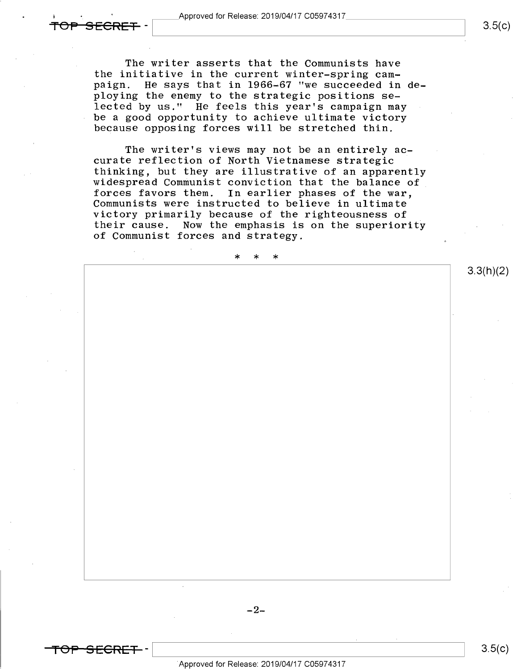<del>SECRET</del>

The writer asserts that the Communists have the initiative in the current winter-spring campaign. He says that in 1966-67 "we succeeded in deploying the enemy to the strategic positions selected by us." He feels this year's campaign may<br>be a good opportunity to achieve ultimate victory because opposing forces will be stretched thin.

The writer's views may not be an entirely accurate reflection of North Vietnamese strategic<br>thinking, but they are illustrative of an apparently widespread Communist conviction that the balance of<br>forces favors them. In earlier phases of the war,<br>Communists were instructed to believe in ultimate victory primarily because of the righteousness of their cause. Now the emphasis is on the superiority of Communist forces and strategy.

>l< \* \*

<del>OP SECRET</del> –

Approved for Release: 2019/O4/17 CO5974317

 $-2-$ 

 $3.3(h)(2)$ 

 $3.5(c)$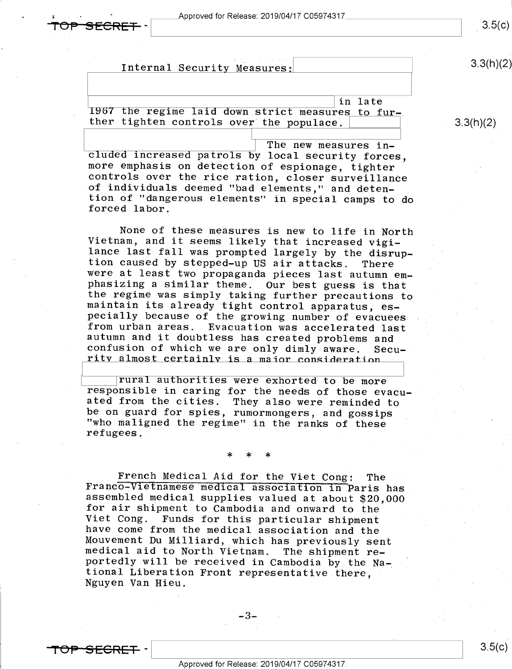T<del>OP SECRET</del> 1

 $3.5(c)$ 

3.3(h)(2)

3.3(h)(2)

Internal Security Measures:

 $\begin{array}{|l|} \hline & \text{in late} \ \hline \text{1967 the regime laid down strict measures to fur-ther tighten controls over the populace.} \hline \end{array}$ 

The new measures included increased patrols by local security forces,<br>more emphasis on detection of espionage, tighter<br>controls over the rice ration, closer surveillance<br>of individuals deemed "bad elements," and deten-<br>tion of "dangerous ele

None of these measures is new to life in North<br>Vietnam, and it seems likely that increased vigi-<br>lance last fall was prompted largely by the disrup-<br>tion caused by stepped-up US air attacks. There<br>were at least two propaga

confusion of which we are only dimly aware. Secu-<br>
rity almost certainly is a maior consideration<br>
Tural authorities were exhorted to be more<br>
responsible in caring for the needs of those evacu-<br>
ated from the cities. They

\* \* \*

Franco-Vietnamese medical aid for the Viet Cong: The<br>Franco-Vietnamese medical association in Paris has<br>assembled medical supplies valued at about \$20,000<br>for air shipment to Cambodia and onward to the<br>Viet Cong. Funds for

<del>TOP SECRET</del> –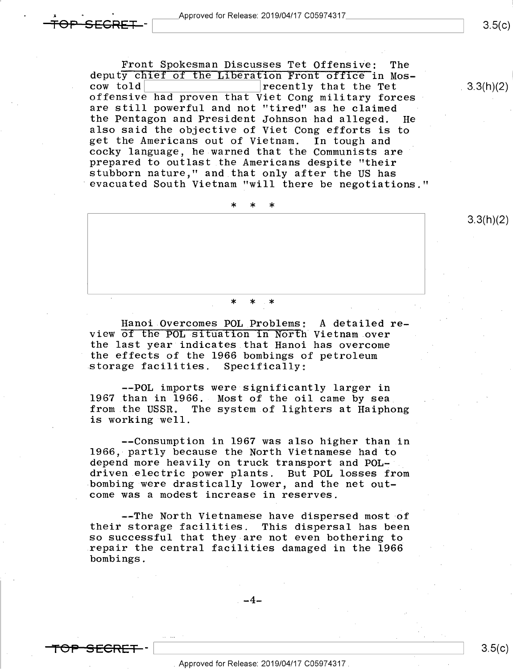Front Spokesman Discusses Tet Offensive: The deputy chief of the Liberation Front office in Mos-<br>cow told  $\begin{array}{c|c} \hline \end{array}$  recently that the Tet . cow told\ \recently that the Tet \_3.3(h)(2) offensive had proven that Viet Cong military forces <sup>V</sup> are still powerful and not "tired" as he claimed<br>the Pentagon and President Johnson had alleged. He the Pentagon and President Johnson had alleged. also said the objective of Viet Cong efforts is to<br>get the Americans out of Vietnam. In tough and get the Americans out of Vietnam. In tough and<br>cocky language, he warned that the Communists are prepared to outlast the Americans despite "their<br>stubborn nature," and that only after the US has evacuated South Vietnam "will there be negotiations."

\* \* \*

### \_ \* \* \*

Hanoi Overcomes POL Problems: A detailed review of the POL situation in Norfh Vietnam.over the last year indicates that Hanoi has overcome the effects of the 1966 bombings of petroleum<br>storage facilities. Specifically: storage facilities.

--POL imports were significantly larger in 1967 than in 1966. Most of the oil came by sea. from the USSR. The system of lighters at Haiphong is working well.

--Consumption in 1967 was also higher than in 1966, partly because the North Vietnamese had to depend more heavily on truck transport and POLdriven electric power plants. But POL losses from -bombing were drastically lower, and the net outcome was a modest increase in reserves.

--The North Vietnamese have dispersed most of<br>Storage facilities. This dispersal has been their storage facilities. so successful that they are not even bothering to .repair the central facilities damaged in the 1966 bombings.

#### ,-4-



 $3.5(c)$ 

3.3(h)(2)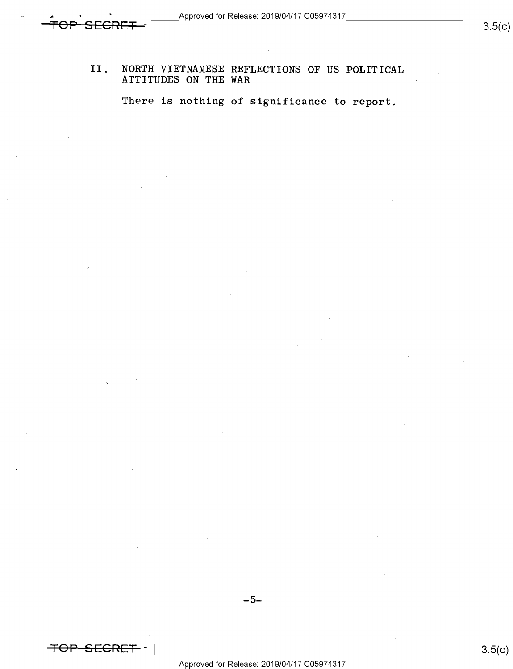II. NORTH VIETNAMESE REFLECTIONS OF US POLITICAL<br>ATTITUDES ON THE WAR

There is nothing of significance to report.

<del>TOP SECRET</del> –

-5-

\ \ s.s(¢)